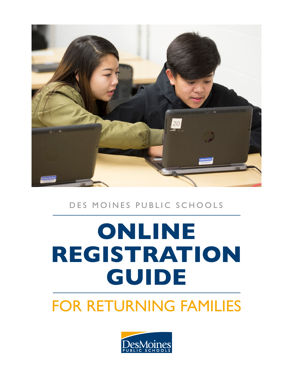

## FOR RETURNING FAMILIES

# **ONLINE REGISTRATION GUIDE**

### DES MOINES PUBLIC SCHOOLS

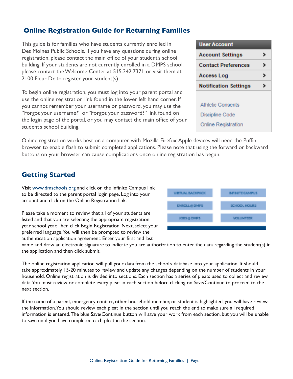#### **Online Registration Guide for Returning Families**

This guide is for families who have students currently enrolled in Des Moines Public Schools. If you have any questions during online registration, please contact the main office of your student's school building. If your students are not currently enrolled in a DMPS school, please contact the Welcome Center at 515.242.7371 or visit them at 2100 Fleur Dr. to register your student(s).

To begin online registration, you must log into your parent portal and use the online registration link found in the lower left hand corner. If you cannot remember your username or password, you may use the "Forgot your username?" or "Forgot your password?" link found on the login page of the portal, or you may contact the main office of your student's school building.

**User Account Account Settings** , **Contact Preferences**  $\rightarrow$  $\rightarrow$ **Access Log Notification Settings** > **Athletic Consents** Discipline Code **Online Registration** 

Online registration works best on a computer with Mozilla Firefox. Apple devices will need the Puffin browser to enable flash to submit completed applications. Please note that using the forward or backward buttons on your browser can cause complications once online registration has begun.

#### **Getting Started**

Visit www.dmschools.org and click on the Infinite Campus link to be directed to the parent portal login page. Log into your account and click on the Online Registration link.

Please take a moment to review that all of your students are listed and that you are selecting the appropriate registration year school year. Then click Begin Registration. Next, select your preferred language. You will then be prompted to review the authentication application agreement. Enter your first and last



name and draw an electronic signature to indicate you are authorization to enter the data regarding the student(s) in the application and then click submit.

The online registration application will pull your data from the school's database into your application. It should take approximately 15-20 minutes to review and update any changes depending on the number of students in your household. Online registration is divided into sections. Each section has a series of pleats used to collect and review data. You must review or complete every pleat in each section before clicking on Save/Continue to proceed to the next section.

If the name of a parent, emergency contact, other household member, or student is highlighted, you will have review the information. You should review each pleat in the section until you reach the end to make sure all required information is entered. The blue Save/Continue button will save your work from each section, but you will be unable to save until you have completed each pleat in the section.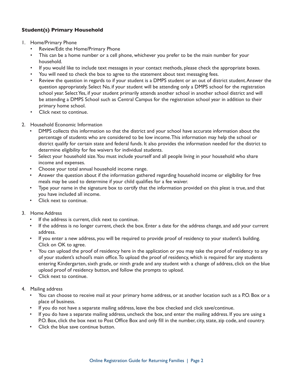#### **Student(s) Primary Household**

- 1. Home/Primary Phone
	- Review/Edit the Home/Primary Phone
	- This can be a home number or a cell phone, whichever you prefer to be the main number for your household.
	- If you would like to include text messages in your contact methods, please check the appropriate boxes.
	- You will need to check the box to agree to the statement about text messaging fees.
	- Review the question in regards to if your student is a DMPS student or an out of district student. Answer the question appropriately. Select No, if your student will be attending only a DMPS school for the registration school year. Select Yes, if your student primarily attends another school in another school district and will be attending a DMPS School such as Central Campus for the registration school year in addition to their primary home school.
	- Click next to continue.
- 2. Household Economic Information
	- DMPS collects this information so that the district and your school have accurate information about the percentage of students who are considered to be low income. This information may help the school or district qualify for certain state and federal funds. It also provides the information needed for the district to determine eligibility for fee waivers for individual students.
	- Select your household size. You must include yourself and all people living in your household who share income and expenses.
	- Choose your total annual household income range.
	- Answer the question about if the information gathered regarding household income or eligibility for free meals may be used to determine if your child qualifies for a fee waiver.
	- Type your name in the signature box to certify that the information provided on this pleat is true, and that you have included all income.
	- Click next to continue.
- 3. Home Address
	- If the address is current, click next to continue.
	- If the address is no longer current, check the box. Enter a date for the address change, and add your current address.
	- If you enter a new address, you will be required to provide proof of residency to your student's building. Click on OK to agree.
	- You can upload the proof of residency here in the application or you may take the proof of residency to any of your student's school's main office. To upload the proof of residency, which is required for any students entering Kindergarten, sixth grade, or ninth grade and any student with a change of address, click on the blue upload proof of residency button, and follow the prompts to upload.
	- Click next to continue.
- 4. Mailing address
	- You can choose to receive mail at your primary home address, or at another location such as a P.O. Box or a place of business.
	- If you do not have a separate mailing address, leave the box checked and click save/continue.
	- If you do have a separate mailing address, uncheck the box, and enter the mailing address. If you are using a P.O. Box, click the box next to Post Office Box and only fill in the number, city, state, zip code, and country.
	- Click the blue save continue button.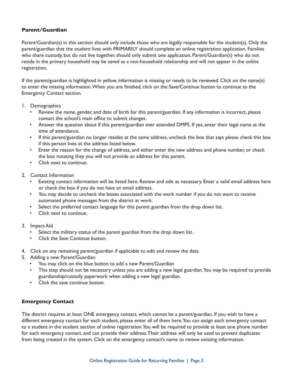#### **Parent/Guardian**

Parent/Guardian(s) in this section should only include those who are legally responsible for the student(s). Only the parent/guardian that the student lives with PRIMARILY should complete an online registration application. Families who share custody, but do not live together, should only submit one application. Parent/Guardian(s) who do not reside in the primary household may be saved as a non-household relationship and will not appear in the online registration.

If the parent/guardian is highlighted in yellow, information is missing or needs to be reviewed. Click on the name(s) to enter the missing information. When you are finished, click on the Save/Continue button to continue to the Emergency Contact section.

- 1. Demographics
	- Review the name, gender, and date of birth for this parent/guardian. If any information is incorrect, please contact the school's main office to submit changes.
	- Answer the question about if this parent/guardian ever attended DMPS. If yes, enter their legal name at the time of attendance.
	- If this parent/guardian no longer resides at the same address, uncheck the box that says please check this box if this person lives at the address listed below.
	- Enter the reason for the change of address, and either enter the new address and phone number, or check the box notating they you will not provide an address for this parent.
	- Click next to continue.

#### 2. Contact Information

- Existing contact information will be listed here. Review and edit as necessary. Enter a valid email address here or check the box if you do not have an email address.
- You may decide to uncheck the boxes associated with the work number if you do not want to receive automated phone messages from the district at work.
- Select the preferred contact language for this parent guardian from the drop down list.
- Click next to continue.
- 3. Impact Aid
	- Select the military status of the parent guardian from the drop down list.
	- Click the Save Continue button.
- 4. Click on any remaining parent/guardian if applicable to edit and review the data.
- 5. Adding a new Parent/Guardian
	- You may click on the blue button to add a new Parent/Guardian
	- This step should not be necessary unless you are adding a new legal guardian. You may be required to provide guardianship/custody paperwork when adding a new legal guardian.
	- Click the save continue button.

#### **Emergency Contact**

The district requires at least ONE emergency contact, which cannot be a parent/guardian. If you wish to have a different emergency contact for each student, please enter all of them here. You can assign each emergency contact to a student in the student section of online registration. You will be required to provide at least one phone number for each emergency contact, and can provide their address. Their address will only be used to prevent duplicates from being created in the system. Click on the emergency contact's name to review existing information.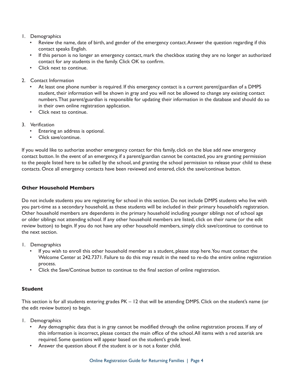#### 1. Demographics

- Review the name, date of birth, and gender of the emergency contact. Answer the question regarding if this contact speaks English.
- If this person is no longer an emergency contact, mark the checkbox stating they are no longer an authorized contact for any students in the family. Click OK to confirm.
- Click next to continue.
- 2. Contact Information
	- At least one phone number is required. If this emergency contact is a current parent/guardian of a DMPS student, their information will be shown in gray and you will not be allowed to change any existing contact numbers. That parent/guardian is responsible for updating their information in the database and should do so in their own online registration application.
	- Click next to continue.
- 3. Verification
	- Entering an address is optional.
	- Click save/continue.

If you would like to authorize another emergency contact for this family, click on the blue add new emergency contact button. In the event of an emergency, if a parent/guardian cannot be contacted, you are granting permission to the people listed here to be called by the school, and granting the school permission to release your child to these contacts. Once all emergency contacts have been reviewed and entered, click the save/continue button.

#### **Other Household Members**

Do not include students you are registering for school in this section. Do not include DMPS students who live with you part-time as a secondary household, as these students will be included in their primary household's registration. Other household members are dependents in the primary household including younger siblings not of school age or older siblings not attending school. If any other household members are listed, click on their name (or the edit review button) to begin. If you do not have any other household members, simply click save/continue to continue to the next section.

- 1. Demographics
	- If you wish to enroll this other household member as a student, please stop here. You must contact the Welcome Center at 242.7371. Failure to do this may result in the need to re-do the entire online registration process.
	- Click the Save/Continue button to continue to the final section of online registration.

#### **Student**

This section is for all students entering grades PK – 12 that will be attending DMPS. Click on the student's name (or the edit review button) to begin.

- 1. Demographics
	- Any demographic data that is in gray cannot be modified through the online registration process. If any of this information is incorrect, please contact the main office of the school. All items with a red asterisk are required. Some questions will appear based on the student's grade level.
	- Answer the question about if the student is or is not a foster child.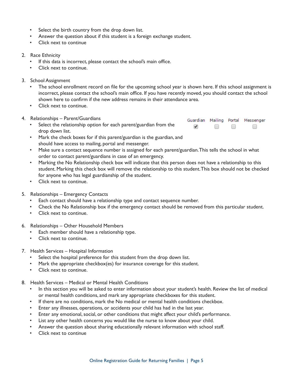- Select the birth country from the drop down list.
- Answer the question about if this student is a foreign exchange student.
- Click next to continue

#### 2. Race Ethnicity

- If this data is incorrect, please contact the school's main office.
- Click next to continue.
- 3. School Assignment
	- The school enrollment record on file for the upcoming school year is shown here. If this school assignment is incorrect, please contact the school's main office. If you have recently moved, you should contact the school shown here to confirm if the new address remains in their attendance area.
	- Click next to continue.
- 4. Relationships Parent/Guardians
	- Select the relationship option for each parent/guardian from the drop down list.



- Mark the check boxes for if this parent/guardian is the guardian, and should have access to mailing, portal and messenger.
- Make sure a contact sequence number is assigned for each parent/guardian. This tells the school in what order to contact parent/guardians in case of an emergency.
- Marking the No Relationship check box will indicate that this person does not have a relationship to this student. Marking this check box will remove the relationship to this student. This box should not be checked for anyone who has legal guardianship of the student.
- Click next to continue.
- 5. Relationships Emergency Contacts
	- Each contact should have a relationship type and contact sequence number.
	- Check the No Relationship box if the emergency contact should be removed from this particular student.
	- Click next to continue.
- 6. Relationships Other Household Members
	- Each member should have a relationship type.
	- Click next to continue.
- 7. Health Services Hospital Information
	- Select the hospital preference for this student from the drop down list.
	- Mark the appropriate checkbox(es) for insurance coverage for this student.
	- Click next to continue.
- 8. Health Services Medical or Mental Health Conditions
	- In this section you will be asked to enter information about your student's health. Review the list of medical or mental health conditions, and mark any appropriate checkboxes for this student.
	- If there are no conditions, mark the No medical or mental health conditions checkbox.
	- Enter any illnesses, operations, or accidents your child has had in the last year.
	- Enter any emotional, social, or other conditions that might affect your child's performance.
	- List any other health concerns you would like the nurse to know about your child.
	- Answer the question about sharing educationally relevant information with school staff.
	- Click next to continue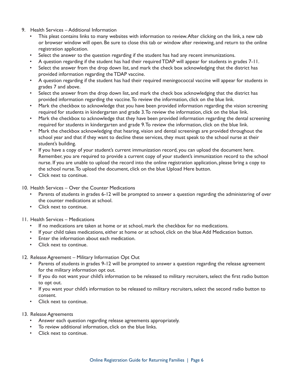- 9. Health Services Additional Information
	- This pleat contains links to many websites with information to review. After clicking on the link, a new tab or browser window will open. Be sure to close this tab or window after reviewing, and return to the online registration application.
	- Select the answer to the question regarding if the student has had any recent immunizations.
	- A question regarding if the student has had their required TDAP will appear for students in grades 7-11.
	- Select the answer from the drop down list, and mark the check box acknowledging that the district has provided information regarding the TDAP vaccine.
	- A question regarding if the student has had their required meningococcal vaccine will appear for students in grades 7 and above.
	- Select the answer from the drop down list, and mark the check box acknowledging that the district has provided information regarding the vaccine. To review the information, click on the blue link.
	- Mark the checkbox to acknowledge that you have been provided information regarding the vision screening required for students in kindergarten and grade 3. To review the information, click on the blue link.
	- Mark the checkbox to acknowledge that they have been provided information regarding the dental screening required for students in kindergarten and grade 9. To review the information, click on the blue link.
	- Mark the checkbox acknowledging that hearing, vision and dental screenings are provided throughout the school year and that if they want to decline these services, they must speak to the school nurse at their student's building.
	- If you have a copy of your student's current immunization record, you can upload the document here. Remember, you are required to provide a current copy of your student's immunization record to the school nurse. If you are unable to upload the record into the online registration application, please bring a copy to the school nurse. To upload the document, click on the blue Upload Here button.
	- Click next to continue.
- 10. Health Services Over the Counter Medications
	- Parents of students in grades 6-12 will be prompted to answer a question regarding the administering of over the counter medications at school.
	- Click next to continue.
- 11. Health Services Medications
	- If no medications are taken at home or at school, mark the checkbox for no medications.
	- If your child takes medications, either at home or at school, click on the blue Add Medication button.
	- Enter the information about each medication.
	- Click next to continue.
- 12. Release Agreement Military Information Opt Out
	- Parents of students in grades 9-12 will be prompted to answer a question regarding the release agreement for the military information opt out.
	- If you do not want your child's information to be released to military recruiters, select the first radio button to opt out.
	- If you want your child's information to be released to military recruiters, select the second radio button to consent.
	- Click next to continue.
- 13. Release Agreements
	- Answer each question regarding release agreements appropriately.
	- To review additional information, click on the blue links.
	- Click next to continue.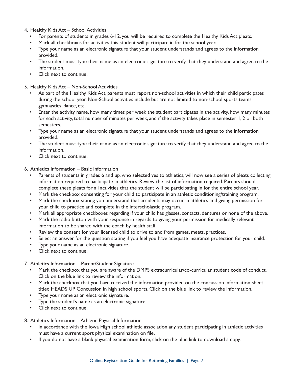- 14. Healthy Kids Act School Activities
	- For parents of students in grades 6-12, you will be required to complete the Healthy Kids Act pleats.
	- Mark all checkboxes for activities this student will participate in for the school year.
	- Type your name as an electronic signature that your student understands and agrees to the information provided.
	- The student must type their name as an electronic signature to verify that they understand and agree to the information.
	- Click next to continue.

#### 15. Healthy Kids Act – Non-School Activities

- As part of the Healthy Kids Act, parents must report non-school activities in which their child participates during the school year. Non-School activities include but are not limited to non-school sports teams, gymnastics, dance, etc.
- Enter the activity name, how many times per week the student participates in the activity, how many minutes for each activity, total number of minutes per week, and if the activity takes place in semester 1, 2 or both semesters.
- Type your name as an electronic signature that your student understands and agrees to the information provided.
- The student must type their name as an electronic signature to verify that they understand and agree to the information.
- Click next to continue.

#### 16. Athletics Information – Basic Information

- Parents of students in grades 6 and up, who selected yes to athletics, will now see a series of pleats collecting information required to participate in athletics. Review the list of information required. Parents should complete these pleats for all activities that the student will be participating in for the entire school year.
- Mark the checkbox consenting for your child to participate in an athletic conditioning/training program.
- Mark the checkbox stating you understand that accidents may occur in athletics and giving permission for your child to practice and complete in the interscholastic program.
- Mark all appropriate checkboxes regarding if your child has glasses, contacts, dentures or none of the above.
- Mark the radio button with your response in regards to giving your permission for medically relevant information to be shared with the coach by health staff.
- Review the consent for your licensed child to drive to and from games, meets, practices.
- Select an answer for the question stating if you feel you have adequate insurance protection for your child.
- Type your name as an electronic signature.
- Click next to continue.

#### 17. Athletics Information – Parent/Student Signature

- Mark the checkbox that you are aware of the DMPS extracurricular/co-curricular student code of conduct. Click on the blue link to review the information.
- Mark the checkbox that you have received the information provided on the concussion information sheet titled HEADS UP Concussion in high school sports. Click on the blue link to review the information.
- Type your name as an electronic signature.
- Type the student's name as an electronic signature.
- Click next to continue.

#### 18. Athletics Information – Athletic Physical Information

- In accordance with the Iowa High school athletic association any student participating in athletic activities must have a current sport physical examination on file.
- If you do not have a blank physical examination form, click on the blue link to download a copy.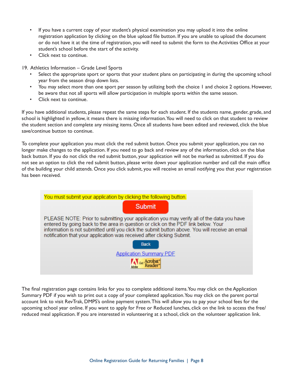- If you have a current copy of your student's physical examination you may upload it into the online registration application by clicking on the blue upload file button. If you are unable to upload the document or do not have it at the time of registration, you will need to submit the form to the Activities Office at your student's school before the start of the activity.
- Click next to continue.
- 19. Athletics Information Grade Level Sports
	- Select the appropriate sport or sports that your student plans on participating in during the upcoming school year from the season drop down lists.
	- You may select more than one sport per season by utilizing both the choice 1 and choice 2 options. However, be aware that not all sports will allow participation in multiple sports within the same season.
	- Click next to continue.

If you have additional students, please repeat the same steps for each student. If the students name, gender, grade, and school is highlighted in yellow, it means there is missing information. You will need to click on that student to review the student section and complete any missing items. Once all students have been edited and reviewed, click the blue save/continue button to continue.

To complete your application you must click the red submit button. Once you submit your application, you can no longer make changes to the application. If you need to go back and review any of the information, click on the blue back button. If you do not click the red submit button, your application will not be marked as submitted. If you do not see an option to click the red submit button, please write down your application number and call the main office of the building your child attends. Once you click submit, you will receive an email notifying you that your registration has been received.

| You must submit your application by clicking the following button.                                                                                                              |
|---------------------------------------------------------------------------------------------------------------------------------------------------------------------------------|
| <b>Submit</b>                                                                                                                                                                   |
| PLEASE NOTE: Prior to submitting your application you may verify all of the data you have<br>entered by going back to the area in question or click on the PDF link below. Your |
| information is not submitted until you click the submit button above. You will receive an email<br>notification that your application was received after clicking Submit.       |
| <b>Back</b>                                                                                                                                                                     |
| <b>Application Summary PDF</b>                                                                                                                                                  |
|                                                                                                                                                                                 |

The final registration page contains links for you to complete additional items. You may click on the Application Summary PDF if you wish to print out a copy of your completed application. You may click on the parent portal account link to visit RevTrak, DMPS's online payment system. This will allow you to pay your school fees for the upcoming school year online. If you want to apply for Free or Reduced lunches, click on the link to access the free/ reduced meal application. If you are interested in volunteering at a school, click on the volunteer application link.